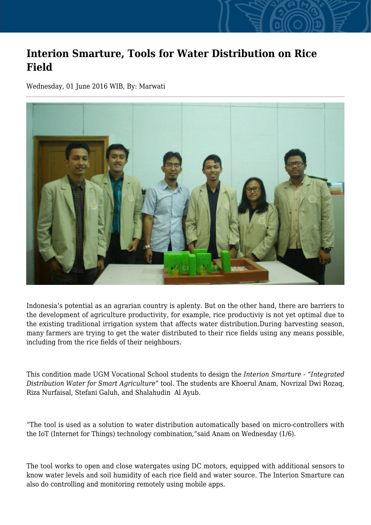## **Interion Smarture, Tools for Water Distribution on Rice Field**

Wednesday, 01 June 2016 WIB, By: Marwati



Indonesia's potential as an agrarian country is aplenty. But on the other hand, there are barriers to the development of agriculture productivity, for example, rice productiviy is not yet optimal due to the existing traditional irrigation system that affects water distribution.During harvesting season, many farmers are trying to get the water distributed to their rice fields using any means possible, including from the rice fields of their neighbours.

This condition made UGM Vocational School students to design the *Interion Smarture - "Integrated Distribution Water for Smart Agriculture*" tool. The students are Khoerul Anam, Novrizal Dwi Rozaq, Riza Nurfaisal, Stefani Galuh, and Shalahudin Al Ayub.

"The tool is used as a solution to water distribution automatically based on micro-controllers with the IoT (Internet for Things) technology combination,"said Anam on Wednesday (1/6).

The tool works to open and close watergates using DC motors, equipped with additional sensors to know water levels and soil humidity of each rice field and water source. The Interion Smarture can also do controlling and monitoring remotely using mobile apps.